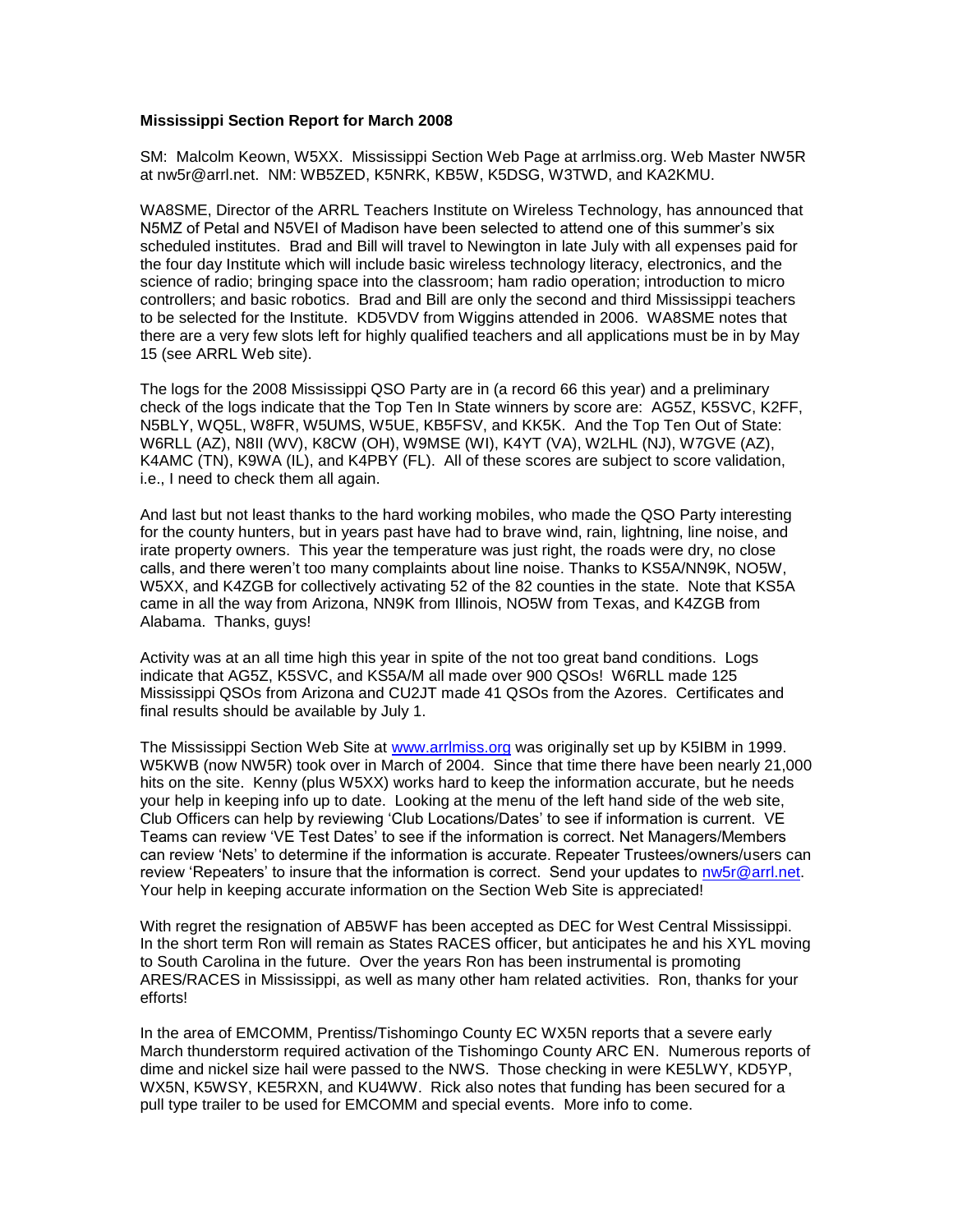## **Mississippi Section Report for March 2008**

SM: Malcolm Keown, W5XX. Mississippi Section Web Page at arrlmiss.org. Web Master NW5R at nw5r@arrl.net. NM: WB5ZED, K5NRK, KB5W, K5DSG, W3TWD, and KA2KMU.

WA8SME, Director of the ARRL Teachers Institute on Wireless Technology, has announced that N5MZ of Petal and N5VEI of Madison have been selected to attend one of this summer's six scheduled institutes. Brad and Bill will travel to Newington in late July with all expenses paid for the four day Institute which will include basic wireless technology literacy, electronics, and the science of radio; bringing space into the classroom; ham radio operation; introduction to micro controllers; and basic robotics. Brad and Bill are only the second and third Mississippi teachers to be selected for the Institute. KD5VDV from Wiggins attended in 2006. WA8SME notes that there are a very few slots left for highly qualified teachers and all applications must be in by May 15 (see ARRL Web site).

The logs for the 2008 Mississippi QSO Party are in (a record 66 this year) and a preliminary check of the logs indicate that the Top Ten In State winners by score are: AG5Z, K5SVC, K2FF, N5BLY, WQ5L, W8FR, W5UMS, W5UE, KB5FSV, and KK5K. And the Top Ten Out of State: W6RLL (AZ), N8II (WV), K8CW (OH), W9MSE (WI), K4YT (VA), W2LHL (NJ), W7GVE (AZ), K4AMC (TN), K9WA (IL), and K4PBY (FL). All of these scores are subject to score validation, i.e., I need to check them all again.

And last but not least thanks to the hard working mobiles, who made the QSO Party interesting for the county hunters, but in years past have had to brave wind, rain, lightning, line noise, and irate property owners. This year the temperature was just right, the roads were dry, no close calls, and there weren't too many complaints about line noise. Thanks to KS5A/NN9K, NO5W, W5XX, and K4ZGB for collectively activating 52 of the 82 counties in the state. Note that KS5A came in all the way from Arizona, NN9K from Illinois, NO5W from Texas, and K4ZGB from Alabama. Thanks, guys!

Activity was at an all time high this year in spite of the not too great band conditions. Logs indicate that AG5Z, K5SVC, and KS5A/M all made over 900 QSOs! W6RLL made 125 Mississippi QSOs from Arizona and CU2JT made 41 QSOs from the Azores. Certificates and final results should be available by July 1.

The Mississippi Section Web Site at [www.arrlmiss.org](http://www.arrlmiss.org/) was originally set up by K5IBM in 1999. W5KWB (now NW5R) took over in March of 2004. Since that time there have been nearly 21,000 hits on the site. Kenny (plus W5XX) works hard to keep the information accurate, but he needs your help in keeping info up to date. Looking at the menu of the left hand side of the web site, Club Officers can help by reviewing 'Club Locations/Dates' to see if information is current. VE Teams can review 'VE Test Dates' to see if the information is correct. Net Managers/Members can review 'Nets' to determine if the information is accurate. Repeater Trustees/owners/users can review 'Repeaters' to insure that the information is correct. Send your updates to [nw5r@arrl.net.](mailto:nw5r@arrl.net) Your help in keeping accurate information on the Section Web Site is appreciated!

With regret the resignation of AB5WF has been accepted as DEC for West Central Mississippi. In the short term Ron will remain as States RACES officer, but anticipates he and his XYL moving to South Carolina in the future. Over the years Ron has been instrumental is promoting ARES/RACES in Mississippi, as well as many other ham related activities. Ron, thanks for your efforts!

In the area of EMCOMM, Prentiss/Tishomingo County EC WX5N reports that a severe early March thunderstorm required activation of the Tishomingo County ARC EN. Numerous reports of dime and nickel size hail were passed to the NWS. Those checking in were KE5LWY, KD5YP, WX5N, K5WSY, KE5RXN, and KU4WW. Rick also notes that funding has been secured for a pull type trailer to be used for EMCOMM and special events. More info to come.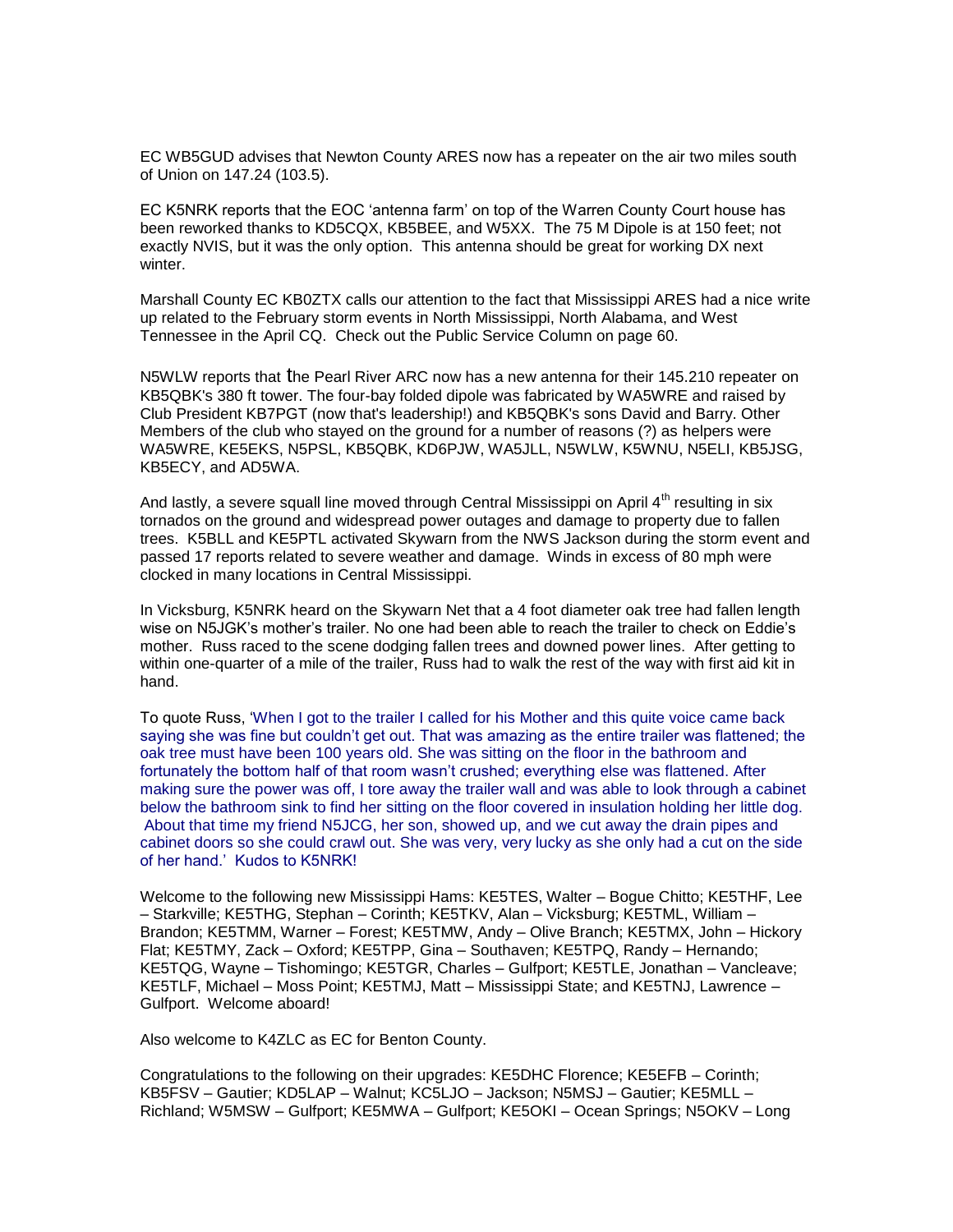EC WB5GUD advises that Newton County ARES now has a repeater on the air two miles south of Union on 147.24 (103.5).

EC K5NRK reports that the EOC 'antenna farm' on top of the Warren County Court house has been reworked thanks to KD5CQX, KB5BEE, and W5XX. The 75 M Dipole is at 150 feet; not exactly NVIS, but it was the only option. This antenna should be great for working DX next winter.

Marshall County EC KB0ZTX calls our attention to the fact that Mississippi ARES had a nice write up related to the February storm events in North Mississippi, North Alabama, and West Tennessee in the April CQ. Check out the Public Service Column on page 60.

N5WLW reports that the Pearl River ARC now has a new antenna for their 145.210 repeater on KB5QBK's 380 ft tower. The four-bay folded dipole was fabricated by WA5WRE and raised by Club President KB7PGT (now that's leadership!) and KB5QBK's sons David and Barry. Other Members of the club who stayed on the ground for a number of reasons (?) as helpers were WA5WRE, KE5EKS, N5PSL, KB5QBK, KD6PJW, WA5JLL, N5WLW, K5WNU, N5ELI, KB5JSG, KB5ECY, and AD5WA.

And lastly, a severe squall line moved through Central Mississippi on April  $4^{\text{th}}$  resulting in six tornados on the ground and widespread power outages and damage to property due to fallen trees. K5BLL and KE5PTL activated Skywarn from the NWS Jackson during the storm event and passed 17 reports related to severe weather and damage. Winds in excess of 80 mph were clocked in many locations in Central Mississippi.

In Vicksburg, K5NRK heard on the Skywarn Net that a 4 foot diameter oak tree had fallen length wise on N5JGK's mother's trailer. No one had been able to reach the trailer to check on Eddie's mother. Russ raced to the scene dodging fallen trees and downed power lines. After getting to within one-quarter of a mile of the trailer, Russ had to walk the rest of the way with first aid kit in hand.

To quote Russ, 'When I got to the trailer I called for his Mother and this quite voice came back saying she was fine but couldn't get out. That was amazing as the entire trailer was flattened; the oak tree must have been 100 years old. She was sitting on the floor in the bathroom and fortunately the bottom half of that room wasn't crushed; everything else was flattened. After making sure the power was off, I tore away the trailer wall and was able to look through a cabinet below the bathroom sink to find her sitting on the floor covered in insulation holding her little dog. About that time my friend N5JCG, her son, showed up, and we cut away the drain pipes and cabinet doors so she could crawl out. She was very, very lucky as she only had a cut on the side of her hand.' Kudos to K5NRK!

Welcome to the following new Mississippi Hams: KE5TES, Walter – Bogue Chitto; KE5THF, Lee – Starkville; KE5THG, Stephan – Corinth; KE5TKV, Alan – Vicksburg; KE5TML, William – Brandon; KE5TMM, Warner – Forest; KE5TMW, Andy – Olive Branch; KE5TMX, John – Hickory Flat; KE5TMY, Zack – Oxford; KE5TPP, Gina – Southaven; KE5TPQ, Randy – Hernando; KE5TQG, Wayne – Tishomingo; KE5TGR, Charles – Gulfport; KE5TLE, Jonathan – Vancleave; KE5TLF, Michael – Moss Point; KE5TMJ, Matt – Mississippi State; and KE5TNJ, Lawrence – Gulfport. Welcome aboard!

Also welcome to K4ZLC as EC for Benton County.

Congratulations to the following on their upgrades: KE5DHC Florence; KE5EFB – Corinth; KB5FSV – Gautier; KD5LAP – Walnut; KC5LJO – Jackson; N5MSJ – Gautier; KE5MLL – Richland; W5MSW – Gulfport; KE5MWA – Gulfport; KE5OKI – Ocean Springs; N5OKV – Long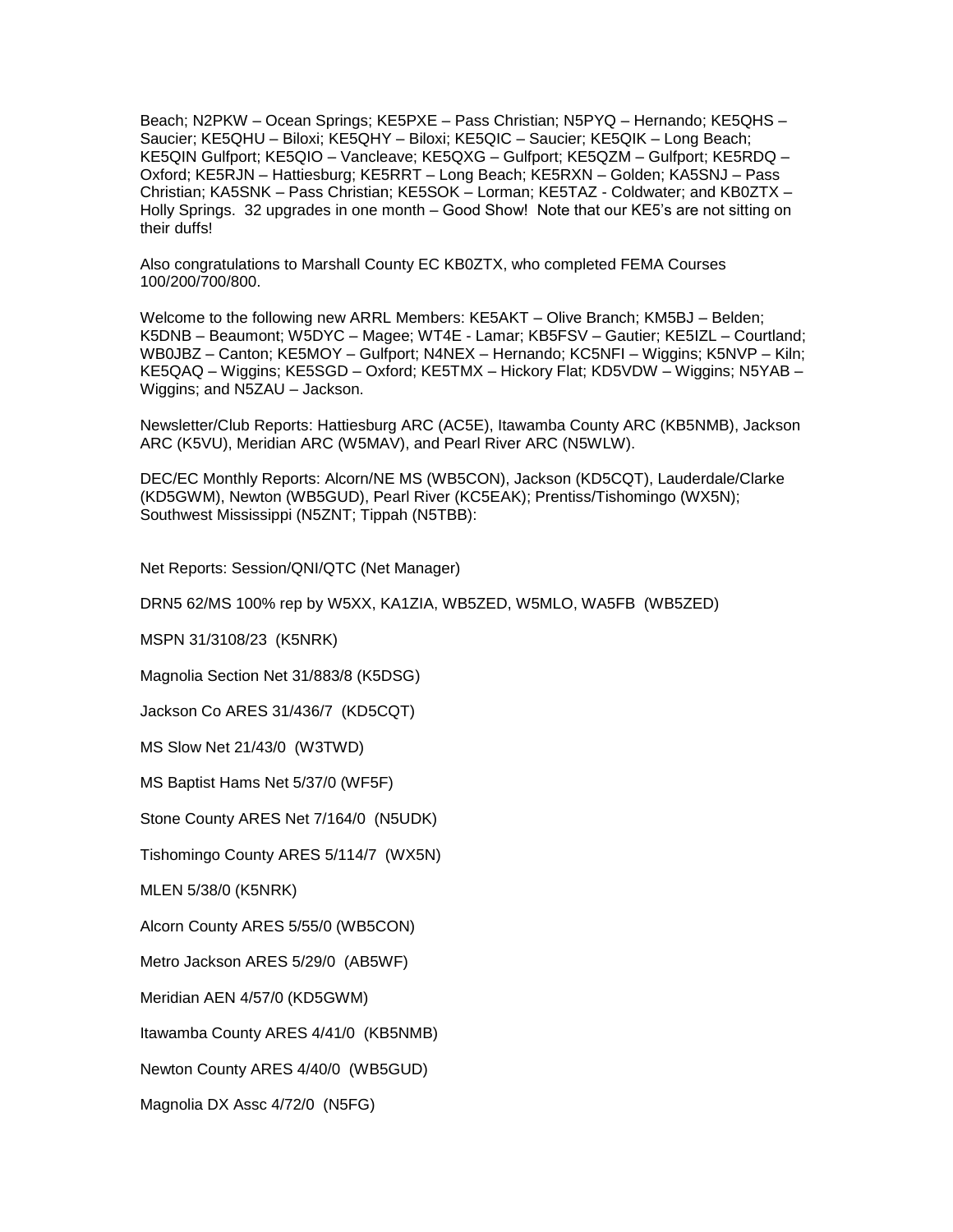Beach; N2PKW – Ocean Springs; KE5PXE – Pass Christian; N5PYQ – Hernando; KE5QHS – Saucier; KE5QHU – Biloxi; KE5QHY – Biloxi; KE5QIC – Saucier; KE5QIK – Long Beach; KE5QIN Gulfport; KE5QIO – Vancleave; KE5QXG – Gulfport; KE5QZM – Gulfport; KE5RDQ – Oxford; KE5RJN – Hattiesburg; KE5RRT – Long Beach; KE5RXN – Golden; KA5SNJ – Pass Christian; KA5SNK – Pass Christian; KE5SOK – Lorman; KE5TAZ - Coldwater; and KB0ZTX – Holly Springs. 32 upgrades in one month – Good Show! Note that our KE5's are not sitting on their duffs!

Also congratulations to Marshall County EC KB0ZTX, who completed FEMA Courses 100/200/700/800.

Welcome to the following new ARRL Members: KE5AKT – Olive Branch; KM5BJ – Belden; K5DNB – Beaumont; W5DYC – Magee; WT4E - Lamar; KB5FSV – Gautier; KE5IZL – Courtland; WB0JBZ – Canton; KE5MOY – Gulfport; N4NEX – Hernando; KC5NFI – Wiggins; K5NVP – Kiln; KE5QAQ – Wiggins; KE5SGD – Oxford; KE5TMX – Hickory Flat; KD5VDW – Wiggins; N5YAB – Wiggins; and N5ZAU – Jackson.

Newsletter/Club Reports: Hattiesburg ARC (AC5E), Itawamba County ARC (KB5NMB), Jackson ARC (K5VU), Meridian ARC (W5MAV), and Pearl River ARC (N5WLW).

DEC/EC Monthly Reports: Alcorn/NE MS (WB5CON), Jackson (KD5CQT), Lauderdale/Clarke (KD5GWM), Newton (WB5GUD), Pearl River (KC5EAK); Prentiss/Tishomingo (WX5N); Southwest Mississippi (N5ZNT; Tippah (N5TBB):

Net Reports: Session/QNI/QTC (Net Manager)

DRN5 62/MS 100% rep by W5XX, KA1ZIA, WB5ZED, W5MLO, WA5FB (WB5ZED)

MSPN 31/3108/23 (K5NRK)

Magnolia Section Net 31/883/8 (K5DSG)

Jackson Co ARES 31/436/7 (KD5CQT)

MS Slow Net 21/43/0 (W3TWD)

MS Baptist Hams Net 5/37/0 (WF5F)

Stone County ARES Net 7/164/0 (N5UDK)

Tishomingo County ARES 5/114/7 (WX5N)

MLEN 5/38/0 (K5NRK)

Alcorn County ARES 5/55/0 (WB5CON)

Metro Jackson ARES 5/29/0 (AB5WF)

Meridian AEN 4/57/0 (KD5GWM)

Itawamba County ARES 4/41/0 (KB5NMB)

Newton County ARES 4/40/0 (WB5GUD)

Magnolia DX Assc 4/72/0 (N5FG)